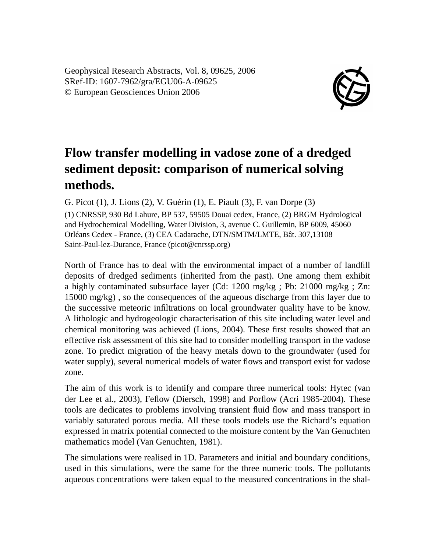Geophysical Research Abstracts, Vol. 8, 09625, 2006 SRef-ID: 1607-7962/gra/EGU06-A-09625 © European Geosciences Union 2006



## **Flow transfer modelling in vadose zone of a dredged sediment deposit: comparison of numerical solving methods.**

G. Picot (1), J. Lions (2), V. Guérin (1), E. Piault (3), F. van Dorpe (3)

(1) CNRSSP, 930 Bd Lahure, BP 537, 59505 Douai cedex, France, (2) BRGM Hydrological and Hydrochemical Modelling, Water Division, 3, avenue C. Guillemin, BP 6009, 45060 Orléans Cedex - France, (3) CEA Cadarache, DTN/SMTM/LMTE, Bât. 307,13108 Saint-Paul-lez-Durance, France (picot@cnrssp.org)

North of France has to deal with the environmental impact of a number of landfill deposits of dredged sediments (inherited from the past). One among them exhibit a highly contaminated subsurface layer (Cd: 1200 mg/kg ; Pb: 21000 mg/kg ; Zn: 15000 mg/kg) , so the consequences of the aqueous discharge from this layer due to the successive meteoric infiltrations on local groundwater quality have to be know. A lithologic and hydrogeologic characterisation of this site including water level and chemical monitoring was achieved (Lions, 2004). These first results showed that an effective risk assessment of this site had to consider modelling transport in the vadose zone. To predict migration of the heavy metals down to the groundwater (used for water supply), several numerical models of water flows and transport exist for vadose zone.

The aim of this work is to identify and compare three numerical tools: Hytec (van der Lee et al., 2003), Feflow (Diersch, 1998) and Porflow (Acri 1985-2004). These tools are dedicates to problems involving transient fluid flow and mass transport in variably saturated porous media. All these tools models use the Richard's equation expressed in matrix potential connected to the moisture content by the Van Genuchten mathematics model (Van Genuchten, 1981).

The simulations were realised in 1D. Parameters and initial and boundary conditions, used in this simulations, were the same for the three numeric tools. The pollutants aqueous concentrations were taken equal to the measured concentrations in the shal